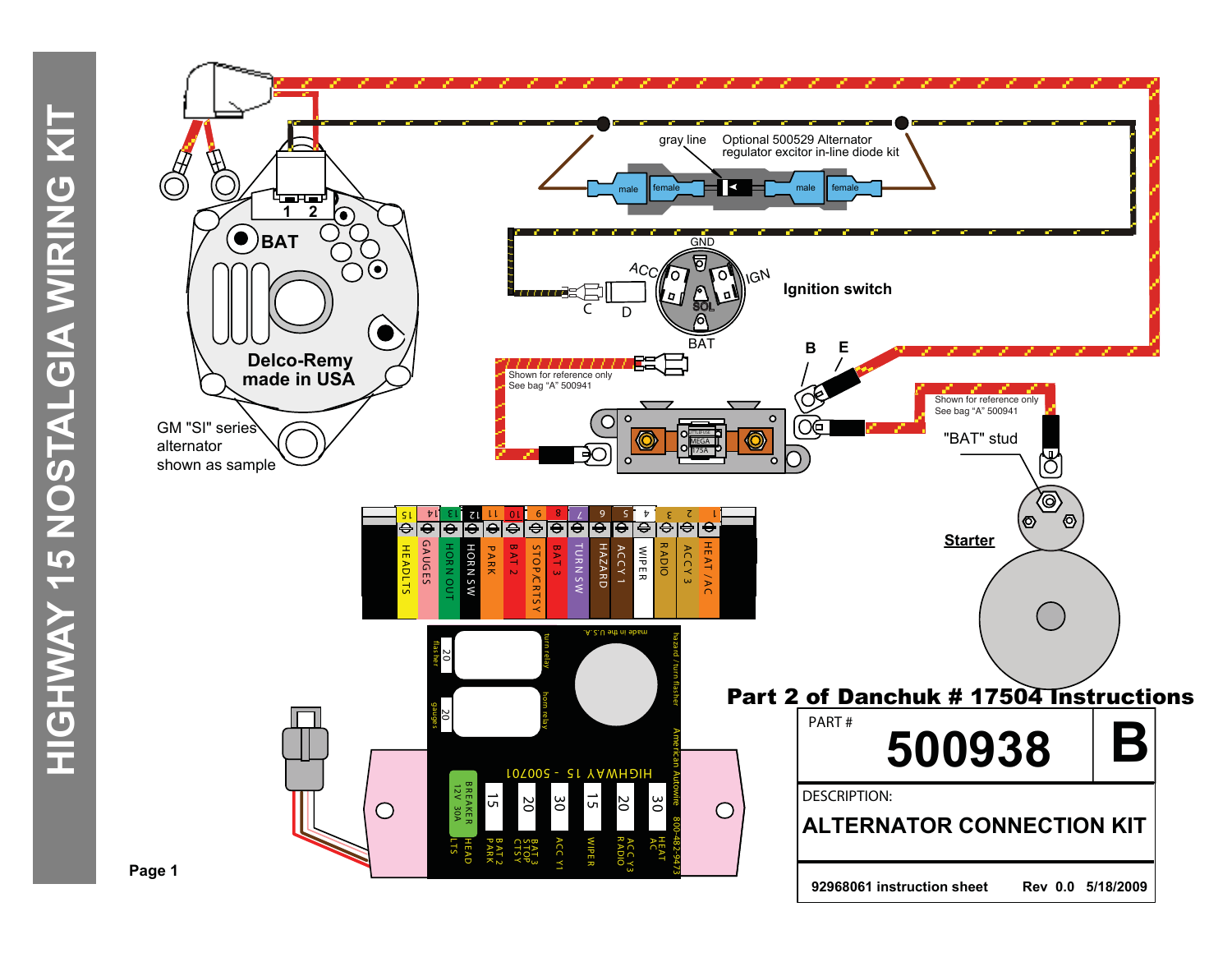

**Page 1**